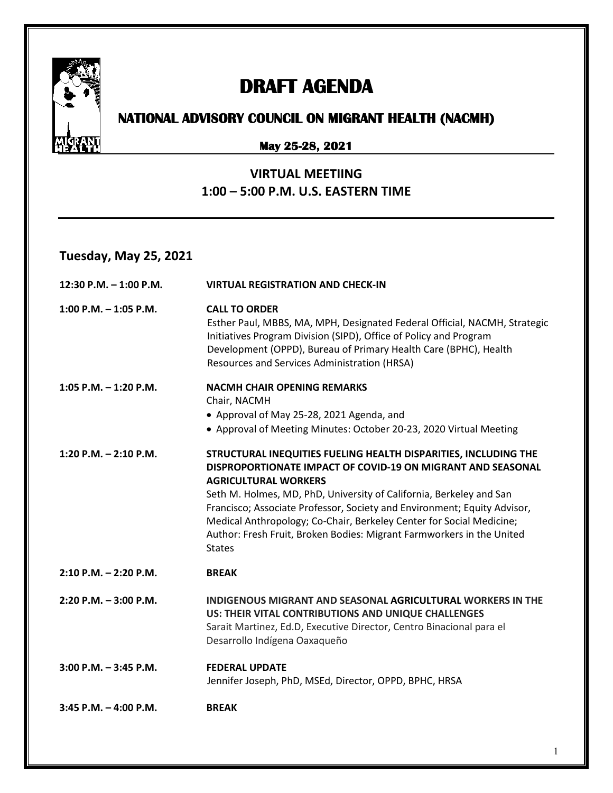

# **DRAFT AGENDA**

# **NATIONAL ADVISORY COUNCIL ON MIGRANT HEALTH (NACMH)**

### **May 25-28, 2021**

### **VIRTUAL MEETIING 1:00 – 5:00 P.M. U.S. EASTERN TIME**

## **Tuesday, May 25, 2021**

| 12:30 P.M. $-$ 1:00 P.M.  | <b>VIRTUAL REGISTRATION AND CHECK-IN</b>                                                                                                                                                                                                                                                                                                                                                                                                                                           |
|---------------------------|------------------------------------------------------------------------------------------------------------------------------------------------------------------------------------------------------------------------------------------------------------------------------------------------------------------------------------------------------------------------------------------------------------------------------------------------------------------------------------|
| $1:00$ P.M. $-1:05$ P.M.  | <b>CALL TO ORDER</b><br>Esther Paul, MBBS, MA, MPH, Designated Federal Official, NACMH, Strategic<br>Initiatives Program Division (SIPD), Office of Policy and Program<br>Development (OPPD), Bureau of Primary Health Care (BPHC), Health<br>Resources and Services Administration (HRSA)                                                                                                                                                                                         |
| $1:05$ P.M. $-1:20$ P.M.  | <b>NACMH CHAIR OPENING REMARKS</b><br>Chair, NACMH<br>• Approval of May 25-28, 2021 Agenda, and<br>• Approval of Meeting Minutes: October 20-23, 2020 Virtual Meeting                                                                                                                                                                                                                                                                                                              |
| 1:20 P.M. $-$ 2:10 P.M.   | STRUCTURAL INEQUITIES FUELING HEALTH DISPARITIES, INCLUDING THE<br>DISPROPORTIONATE IMPACT OF COVID-19 ON MIGRANT AND SEASONAL<br><b>AGRICULTURAL WORKERS</b><br>Seth M. Holmes, MD, PhD, University of California, Berkeley and San<br>Francisco; Associate Professor, Society and Environment; Equity Advisor,<br>Medical Anthropology; Co-Chair, Berkeley Center for Social Medicine;<br>Author: Fresh Fruit, Broken Bodies: Migrant Farmworkers in the United<br><b>States</b> |
| $2:10$ P.M. $- 2:20$ P.M. | <b>BREAK</b>                                                                                                                                                                                                                                                                                                                                                                                                                                                                       |
| $2:20$ P.M. $-3:00$ P.M.  | INDIGENOUS MIGRANT AND SEASONAL AGRICULTURAL WORKERS IN THE<br>US: THEIR VITAL CONTRIBUTIONS AND UNIQUE CHALLENGES<br>Sarait Martinez, Ed.D, Executive Director, Centro Binacional para el<br>Desarrollo Indígena Oaxaqueño                                                                                                                                                                                                                                                        |
| $3:00$ P.M. $-3:45$ P.M.  | <b>FEDERAL UPDATE</b><br>Jennifer Joseph, PhD, MSEd, Director, OPPD, BPHC, HRSA                                                                                                                                                                                                                                                                                                                                                                                                    |
| $3:45$ P.M. $-4:00$ P.M.  | <b>BREAK</b>                                                                                                                                                                                                                                                                                                                                                                                                                                                                       |

1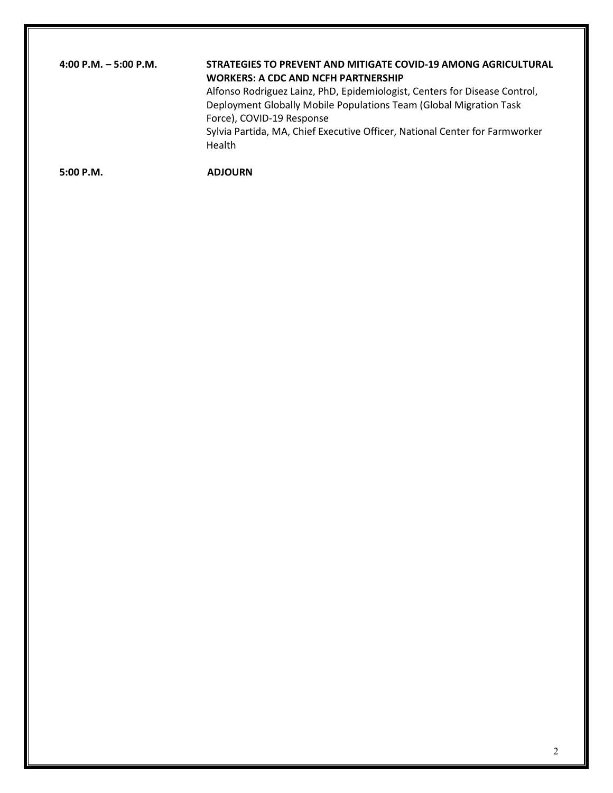### **4:00 P.M. – 5:00 P.M. STRATEGIES TO PREVENT AND MITIGATE COVID-19 AMONG AGRICULTURAL WORKERS: A CDC AND NCFH PARTNERSHIP**

Alfonso Rodriguez Lainz, PhD, Epidemiologist, Centers for Disease Control, Deployment Globally Mobile Populations Team (Global Migration Task Force), COVID-19 Response Sylvia Partida, MA, Chief Executive Officer, National Center for Farmworker

Health

**5:00 P.M. ADJOURN**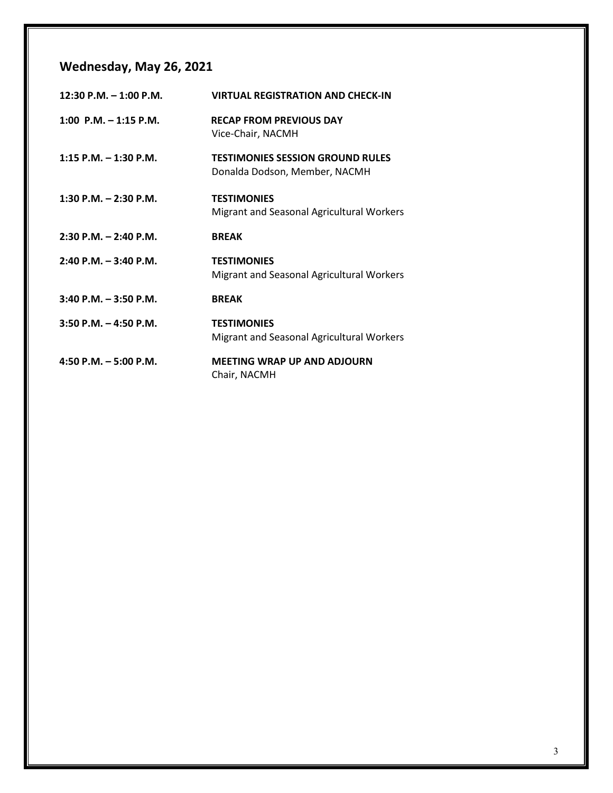## **Wednesday, May 26, 2021**

| 12:30 P.M. - 1:00 P.M.    | <b>VIRTUAL REGISTRATION AND CHECK-IN</b>                                 |
|---------------------------|--------------------------------------------------------------------------|
| 1:00 P.M. $-$ 1:15 P.M.   | <b>RECAP FROM PREVIOUS DAY</b><br>Vice-Chair, NACMH                      |
| $1:15$ P.M. $-1:30$ P.M.  | <b>TESTIMONIES SESSION GROUND RULES</b><br>Donalda Dodson, Member, NACMH |
| $1:30$ P.M. $- 2:30$ P.M. | <b>TESTIMONIES</b><br>Migrant and Seasonal Agricultural Workers          |
| $2:30$ P.M. $-2:40$ P.M.  | <b>BREAK</b>                                                             |
| $2:40$ P.M. $-3:40$ P.M.  | <b>TESTIMONIES</b><br>Migrant and Seasonal Agricultural Workers          |
| $3:40$ P.M. $-3:50$ P.M.  | <b>BREAK</b>                                                             |
| $3:50$ P.M. $-4:50$ P.M.  | <b>TESTIMONIES</b><br>Migrant and Seasonal Agricultural Workers          |
| 4:50 P.M. $-$ 5:00 P.M.   | <b>MEETING WRAP UP AND ADJOURN</b><br>Chair, NACMH                       |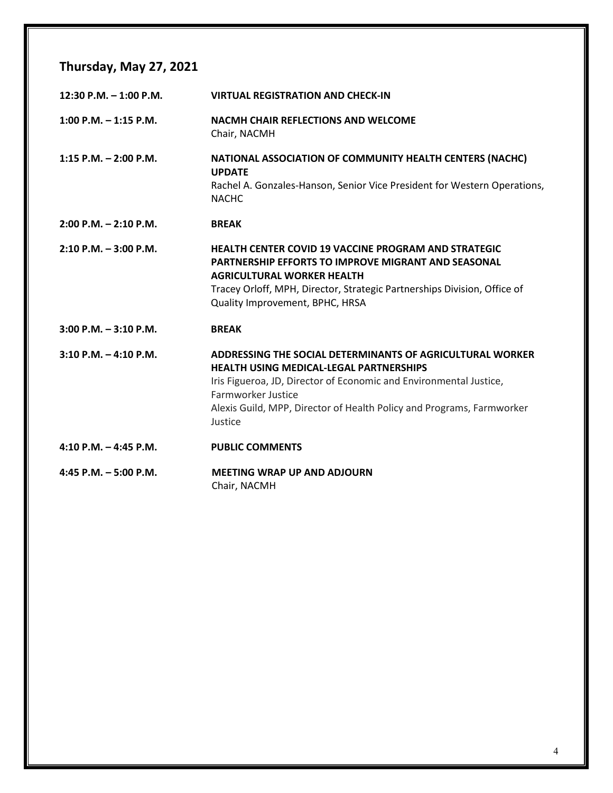## **Thursday, May 27, 2021**

| 12:30 P.M. $-$ 1:00 P.M.  | <b>VIRTUAL REGISTRATION AND CHECK-IN</b>                                                                                                                                                                                                                                                    |
|---------------------------|---------------------------------------------------------------------------------------------------------------------------------------------------------------------------------------------------------------------------------------------------------------------------------------------|
| $1:00$ P.M. $-1:15$ P.M.  | <b>NACMH CHAIR REFLECTIONS AND WELCOME</b><br>Chair, NACMH                                                                                                                                                                                                                                  |
| 1:15 P.M. $-$ 2:00 P.M.   | NATIONAL ASSOCIATION OF COMMUNITY HEALTH CENTERS (NACHC)<br><b>UPDATE</b><br>Rachel A. Gonzales-Hanson, Senior Vice President for Western Operations,<br><b>NACHC</b>                                                                                                                       |
| $2:00$ P.M. $- 2:10$ P.M. | <b>BREAK</b>                                                                                                                                                                                                                                                                                |
| $2:10$ P.M. $-3:00$ P.M.  | <b>HEALTH CENTER COVID 19 VACCINE PROGRAM AND STRATEGIC</b><br><b>PARTNERSHIP EFFORTS TO IMPROVE MIGRANT AND SEASONAL</b><br><b>AGRICULTURAL WORKER HEALTH</b><br>Tracey Orloff, MPH, Director, Strategic Partnerships Division, Office of<br>Quality Improvement, BPHC, HRSA               |
| $3:00$ P.M. $-3:10$ P.M.  | <b>BREAK</b>                                                                                                                                                                                                                                                                                |
| $3:10$ P.M. $-4:10$ P.M.  | ADDRESSING THE SOCIAL DETERMINANTS OF AGRICULTURAL WORKER<br><b>HEALTH USING MEDICAL-LEGAL PARTNERSHIPS</b><br>Iris Figueroa, JD, Director of Economic and Environmental Justice,<br>Farmworker Justice<br>Alexis Guild, MPP, Director of Health Policy and Programs, Farmworker<br>Justice |
| $4:10$ P.M. $-4:45$ P.M.  | <b>PUBLIC COMMENTS</b>                                                                                                                                                                                                                                                                      |
| $4:45$ P.M. $-5:00$ P.M.  | <b>MEETING WRAP UP AND ADJOURN</b><br>Chair, NACMH                                                                                                                                                                                                                                          |